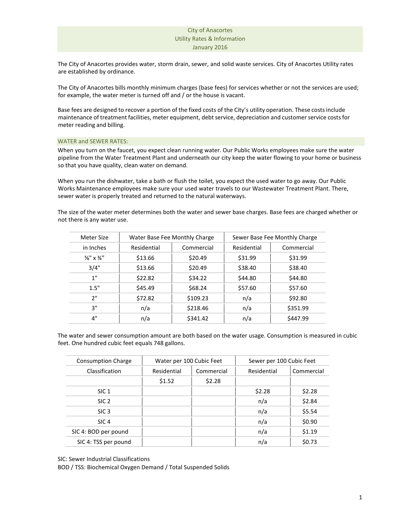The City of Anacortes provides water, storm drain, sewer, and solid waste services. City of Anacortes Utility rates are established by ordinance.

The City of Anacortes bills monthly minimum charges (base fees) for services whether or not the services are used; for example, the water meter is turned off and / or the house is vacant.

Base fees are designed to recover a portion of the fixed costs of the City's utility operation. These costs include maintenance of treatment facilities, meter equipment, debt service, depreciation and customer service costs for meter reading and billing.

## WATER and SEWER RATES:

When you turn on the faucet, you expect clean running water. Our Public Works employees make sure the water pipeline from the Water Treatment Plant and underneath our city keep the water flowing to your home or business so that you have quality, clean water on demand.

When you run the dishwater, take a bath or flush the toilet, you expect the used water to go away. Our Public Works Maintenance employees make sure your used water travels to our Wastewater Treatment Plant. There, sewer water is properly treated and returned to the natural waterways.

The size of the water meter determines both the water and sewer base charges. Base fees are charged whether or not there is any water use.

| Meter Size                        |             | Water Base Fee Monthly Charge | Sewer Base Fee Monthly Charge |            |
|-----------------------------------|-------------|-------------------------------|-------------------------------|------------|
| in Inches                         | Residential | Commercial                    | Residential                   | Commercial |
| $\frac{5}{8}$ " x $\frac{3}{4}$ " | \$13.66     | \$20.49                       | \$31.99                       | \$31.99    |
| 3/4"                              | \$13.66     | \$20.49                       | \$38.40                       | \$38.40    |
| 1"                                | \$22.82     | \$34.22                       | \$44.80                       | \$44.80    |
| 1.5"                              | \$45.49     | \$68.24                       | \$57.60                       | \$57.60    |
| 2"                                | \$72.82     | \$109.23                      | n/a                           | \$92.80    |
| 3"                                | n/a         | \$218.46                      | n/a                           | \$351.99   |
| 4"                                | n/a         | \$341.42                      | n/a                           | \$447.99   |
|                                   |             |                               |                               |            |

The water and sewer consumption amount are both based on the water usage. Consumption is measured in cubic feet. One hundred cubic feet equals 748 gallons.

| <b>Consumption Charge</b> | Water per 100 Cubic Feet |            | Sewer per 100 Cubic Feet |            |
|---------------------------|--------------------------|------------|--------------------------|------------|
| Classification            | Residential              | Commercial | Residential              | Commercial |
|                           | \$1.52                   | \$2.28     |                          |            |
| SIC <sub>1</sub>          |                          |            | \$2.28                   | \$2.28     |
| SIC <sub>2</sub>          |                          |            | n/a                      | \$2.84     |
| SIC <sub>3</sub>          |                          |            | n/a                      | \$5.54     |
| SIC <sub>4</sub>          |                          |            | n/a                      | \$0.90     |
| SIC 4: BOD per pound      |                          |            | n/a                      | \$1.19     |
| SIC 4: TSS per pound      |                          |            | n/a                      | \$0.73     |

SIC: Sewer Industrial Classifications

BOD / TSS: Biochemical Oxygen Demand / Total Suspended Solids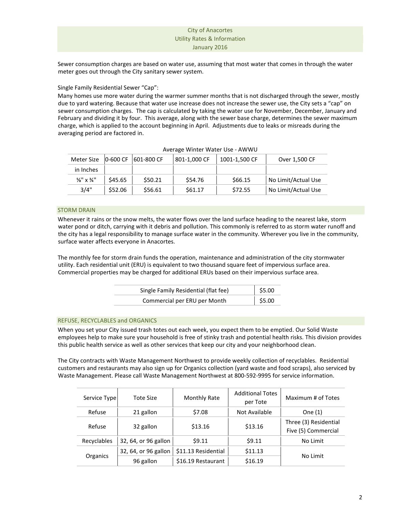Sewer consumption charges are based on water use, assuming that most water that comes in through the water meter goes out through the City sanitary sewer system.

# Single Family Residential Sewer "Cap":

Many homes use more water during the warmer summer months that is not discharged through the sewer, mostly due to yard watering. Because that water use increase does not increase the sewer use, the City sets a "cap" on sewer consumption charges. The cap is calculated by taking the water use for November, December, January and February and dividing it by four. This average, along with the sewer base charge, determines the sewer maximum charge, which is applied to the account beginning in April. Adjustments due to leaks or misreads during the averaging period are factored in.

| Meter Size                        | 0-600 CF | 601-800 CF | 801-1,000 CF | 1001-1.500 CF | Over 1,500 CF       |
|-----------------------------------|----------|------------|--------------|---------------|---------------------|
| in Inches                         |          |            |              |               |                     |
| $\frac{5}{8}$ " x $\frac{3}{4}$ " | \$45.65  | \$50.21    | \$54.76      | \$66.15       | No Limit/Actual Use |
| 3/4"                              | \$52.06  | \$56.61    | \$61.17      | \$72.55       | No Limit/Actual Use |

### Average Winter Water Use - AWWU

## STORM DRAIN

Whenever it rains or the snow melts, the water flows over the land surface heading to the nearest lake, storm water pond or ditch, carrying with it debris and pollution. This commonly is referred to as storm water runoff and the city has a legal responsibility to manage surface water in the community. Wherever you live in the community, surface water affects everyone in Anacortes.

The monthly fee for storm drain funds the operation, maintenance and administration of the city stormwater utility. Each residential unit (ERU) is equivalent to two thousand square feet of impervious surface area. Commercial properties may be charged for additional ERUs based on their impervious surface area.

| Single Family Residential (flat fee) | \$5.00               |
|--------------------------------------|----------------------|
| Commercial per ERU per Month         | $\frac{1}{2}$ \$5.00 |

## REFUSE, RECYCLABLES and ORGANICS

When you set your City issued trash totes out each week, you expect them to be emptied. Our Solid Waste employees help to make sure your household is free of stinky trash and potential health risks. This division provides this public health service as well as other services that keep our city and your neighborhood clean.

The City contracts with Waste Management Northwest to provide weekly collection of recyclables. Residential customers and restaurants may also sign up for Organics collection (yard waste and food scraps), also serviced by Waste Management. Please call Waste Management Northwest at 800-592-9995 for service information.

| Service Type | <b>Tote Size</b>     | Monthly Rate        | <b>Additional Totes</b><br>per Tote | Maximum # of Totes                           |
|--------------|----------------------|---------------------|-------------------------------------|----------------------------------------------|
| Refuse       | 21 gallon            | \$7.08              | Not Available                       | One $(1)$                                    |
| Refuse       | 32 gallon            | \$13.16             | \$13.16                             | Three (3) Residential<br>Five (5) Commercial |
| Recyclables  | 32, 64, or 96 gallon | 59.11               | \$9.11                              | No Limit                                     |
| Organics     | 32, 64, or 96 gallon | \$11.13 Residential | \$11.13                             |                                              |
|              | 96 gallon            | \$16.19 Restaurant  | \$16.19                             | No Limit                                     |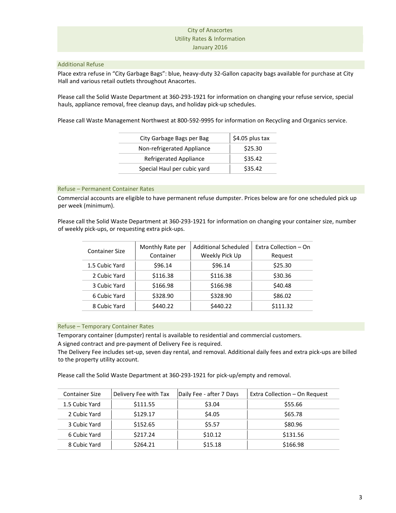## Additional Refuse

Place extra refuse in "City Garbage Bags": blue, heavy-duty 32-Gallon capacity bags available for purchase at City Hall and various retail outlets throughout Anacortes.

Please call the Solid Waste Department at 360-293-1921 for information on changing your refuse service, special hauls, appliance removal, free cleanup days, and holiday pick-up schedules.

Please call Waste Management Northwest at 800-592-9995 for information on Recycling and Organics service.

| City Garbage Bags per Bag   | \$4.05 plus tax |
|-----------------------------|-----------------|
| Non-refrigerated Appliance  | \$25.30         |
| Refrigerated Appliance      | \$35.42         |
| Special Haul per cubic yard | \$35.42         |

# Refuse – Permanent Container Rates

Commercial accounts are eligible to have permanent refuse dumpster. Prices below are for one scheduled pick up per week (minimum).

Please call the Solid Waste Department at 360-293-1921 for information on changing your container size, number of weekly pick-ups, or requesting extra pick-ups.

| <b>Container Size</b> |                | Monthly Rate per | Additional Scheduled | Extra Collection - On |
|-----------------------|----------------|------------------|----------------------|-----------------------|
|                       |                | Container        | Weekly Pick Up       | Request               |
|                       | 1.5 Cubic Yard | \$96.14          | \$96.14              | \$25.30               |
|                       | 2 Cubic Yard   | \$116.38         | \$116.38             | \$30.36               |
|                       | 3 Cubic Yard   | \$166.98         | \$166.98             | \$40.48               |
|                       | 6 Cubic Yard   | \$328.90         | \$328.90             | \$86.02               |
|                       | 8 Cubic Yard   | \$440.22         | \$440.22             | \$111.32              |
|                       |                |                  |                      |                       |

## Refuse – Temporary Container Rates

Temporary container (dumpster) rental is available to residential and commercial customers.

A signed contract and pre-payment of Delivery Fee is required.

The Delivery Fee includes set-up, seven day rental, and removal. Additional daily fees and extra pick-ups are billed to the property utility account.

Please call the Solid Waste Department at 360-293-1921 for pick-up/empty and removal.

| <b>Container Size</b> | Delivery Fee with Tax | Daily Fee - after 7 Days | Extra Collection - On Request |
|-----------------------|-----------------------|--------------------------|-------------------------------|
| 1.5 Cubic Yard        | \$111.55              | \$3.04                   | \$55.66                       |
| 2 Cubic Yard          | \$129.17              | \$4.05                   | \$65.78                       |
| 3 Cubic Yard          | \$152.65              | \$5.57                   | \$80.96                       |
| 6 Cubic Yard          | \$217.24              | \$10.12                  | \$131.56                      |
| 8 Cubic Yard          | \$264.21              | \$15.18                  | \$166.98                      |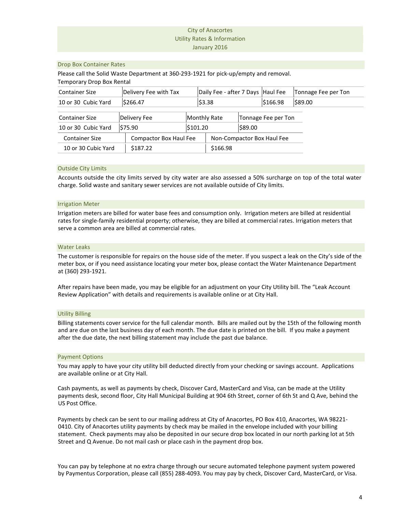#### Drop Box Container Rates

Please call the Solid Waste Department at 360-293-1921 for pick-up/empty and removal.

Temporary Drop Box Rental Container Size **Delivery Fee with Tax** Daily Fee - after 7 Days Haul Fee Tonnage Fee per Ton 10 or 30 Cubic Yard  $\begin{array}{|c|c|c|c|c|}\n\hline\n\text{5266.47} & \text{53.38} \\
\hline\n\end{array}$ Container Size | Compactor Box Haul Fee | Non-Compactor Box Haul Fee 10 or 30 Cubic Yard | \$187.22 | \$166.98 Container Size Delivery Fee Monthly Rate Tonnage Fee per Ton 10 or 30 Cubic Yard  $\left| \frac{575.90}{20} \right|$  \$101.20  $\left| \frac{589.00}{20} \right|$ 

#### Outside City Limits

Accounts outside the city limits served by city water are also assessed a 50% surcharge on top of the total water charge. Solid waste and sanitary sewer services are not available outside of City limits.

#### Irrigation Meter

Irrigation meters are billed for water base fees and consumption only. Irrigation meters are billed at residential rates for single-family residential property; otherwise, they are billed at commercial rates. Irrigation meters that serve a common area are billed at commercial rates.

### Water Leaks

The customer is responsible for repairs on the house side of the meter. If you suspect a leak on the City's side of the meter box, or if you need assistance locating your meter box, please contact the Water Maintenance Department at (360) 293-1921.

After repairs have been made, you may be eligible for an adjustment on your City Utility bill. The "Leak Account Review Application" with details and requirements is available online or at City Hall.

## Utility Billing

Billing statements cover service for the full calendar month. Bills are mailed out by the 15th of the following month and are due on the last business day of each month. The due date is printed on the bill. If you make a payment after the due date, the next billing statement may include the past due balance.

#### Payment Options

You may apply to have your city utility bill deducted directly from your checking or savings account. Applications are available online or at City Hall.

Cash payments, as well as payments by check, Discover Card, MasterCard and Visa, can be made at the Utility payments desk, second floor, City Hall Municipal Building at 904 6th Street, corner of 6th St and Q Ave, behind the US Post Office.

Payments by check can be sent to our mailing address at City of Anacortes, PO Box 410, Anacortes, WA 98221- 0410. City of Anacortes utility payments by check may be mailed in the envelope included with your billing statement. Check payments may also be deposited in our secure drop box located in our north parking lot at 5th Street and Q Avenue. Do not mail cash or place cash in the payment drop box.

You can pay by telephone at no extra charge through our secure automated telephone payment system powered by Paymentus Corporation, please call (855) 288-4093. You may pay by check, Discover Card, MasterCard, or Visa.